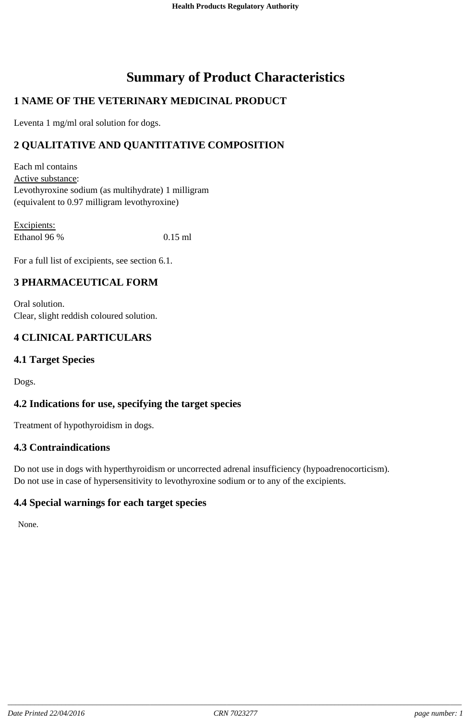# **Summary of Product Characteristics**

# **1 NAME OF THE VETERINARY MEDICINAL PRODUCT**

Leventa 1 mg/ml oral solution for dogs.

# **2 QUALITATIVE AND QUANTITATIVE COMPOSITION**

Each ml contains Active substance: Levothyroxine sodium (as multihydrate) 1 milligram (equivalent to 0.97 milligram levothyroxine)

Excipients: Ethanol 96 % 0.15 ml

For a full list of excipients, see section 6.1.

#### **3 PHARMACEUTICAL FORM**

Oral solution. Clear, slight reddish coloured solution.

# **4 CLINICAL PARTICULARS**

# **4.1 Target Species**

Dogs.

# **4.2 Indications for use, specifying the target species**

Treatment of hypothyroidism in dogs.

#### **4.3 Contraindications**

Do not use in dogs with hyperthyroidism or uncorrected adrenal insufficiency (hypoadrenocorticism). Do not use in case of hypersensitivity to levothyroxine sodium or to any of the excipients.

# **4.4 Special warnings for each target species**

None.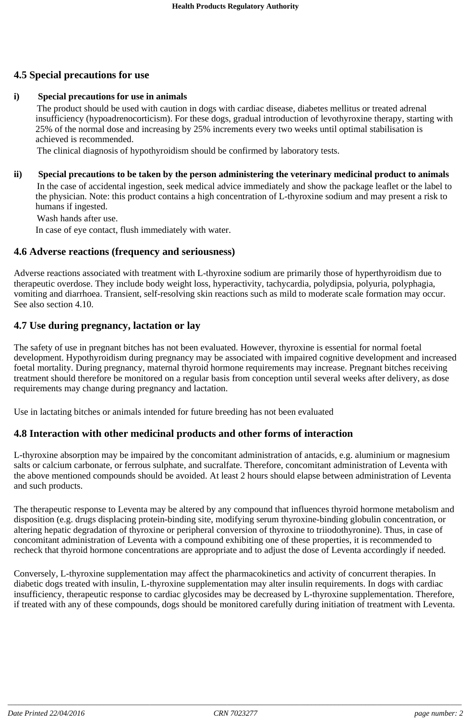# **4.5 Special precautions for use**

#### **i) Special precautions for use in animals**

The product should be used with caution in dogs with cardiac disease, diabetes mellitus or treated adrenal insufficiency (hypoadrenocorticism). For these dogs, gradual introduction of levothyroxine therapy, starting with 25% of the normal dose and increasing by 25% increments every two weeks until optimal stabilisation is achieved is recommended.

The clinical diagnosis of hypothyroidism should be confirmed by laboratory tests.

#### **ii) Special precautions to be taken by the person administering the veterinary medicinal product to animals** In the case of accidental ingestion, seek medical advice immediately and show the package leaflet or the label to

the physician. Note: this product contains a high concentration of L-thyroxine sodium and may present a risk to humans if ingested.

Wash hands after use.

In case of eye contact, flush immediately with water.

#### **4.6 Adverse reactions (frequency and seriousness)**

Adverse reactions associated with treatment with L-thyroxine sodium are primarily those of hyperthyroidism due to therapeutic overdose. They include body weight loss, hyperactivity, tachycardia, polydipsia, polyuria, polyphagia, vomiting and diarrhoea. Transient, self-resolving skin reactions such as mild to moderate scale formation may occur. See also section 4.10.

#### **4.7 Use during pregnancy, lactation or lay**

The safety of use in pregnant bitches has not been evaluated. However, thyroxine is essential for normal foetal development. Hypothyroidism during pregnancy may be associated with impaired cognitive development and increased foetal mortality. During pregnancy, maternal thyroid hormone requirements may increase. Pregnant bitches receiving treatment should therefore be monitored on a regular basis from conception until several weeks after delivery, as dose requirements may change during pregnancy and lactation.

Use in lactating bitches or animals intended for future breeding has not been evaluated

#### **4.8 Interaction with other medicinal products and other forms of interaction**

L-thyroxine absorption may be impaired by the concomitant administration of antacids, e.g. aluminium or magnesium salts or calcium carbonate, or ferrous sulphate, and sucralfate. Therefore, concomitant administration of Leventa with the above mentioned compounds should be avoided. At least 2 hours should elapse between administration of Leventa and such products.

The therapeutic response to Leventa may be altered by any compound that influences thyroid hormone metabolism and disposition (e.g. drugs displacing protein-binding site, modifying serum thyroxine-binding globulin concentration, or altering hepatic degradation of thyroxine or peripheral conversion of thyroxine to triiodothyronine). Thus, in case of concomitant administration of Leventa with a compound exhibiting one of these properties, it is recommended to recheck that thyroid hormone concentrations are appropriate and to adjust the dose of Leventa accordingly if needed.

Conversely, L-thyroxine supplementation may affect the pharmacokinetics and activity of concurrent therapies. In diabetic dogs treated with insulin, L-thyroxine supplementation may alter insulin requirements. In dogs with cardiac insufficiency, therapeutic response to cardiac glycosides may be decreased by L-thyroxine supplementation. Therefore, if treated with any of these compounds, dogs should be monitored carefully during initiation of treatment with Leventa.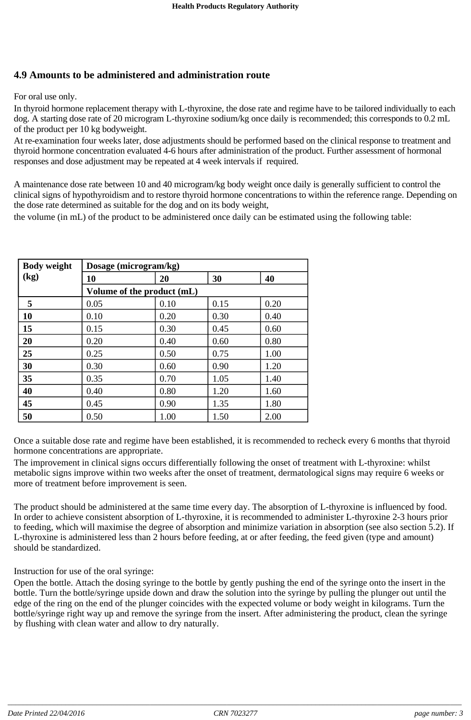# **4.9 Amounts to be administered and administration route**

For oral use only.

In thyroid hormone replacement therapy with L-thyroxine, the dose rate and regime have to be tailored individually to each dog. A starting dose rate of 20 microgram L-thyroxine sodium/kg once daily is recommended; this corresponds to 0.2 mL of the product per 10 kg bodyweight.

At re-examination four weeks later, dose adjustments should be performed based on the clinical response to treatment and thyroid hormone concentration evaluated 4-6 hours after administration of the product. Further assessment of hormonal responses and dose adjustment may be repeated at 4 week intervals if required.

A maintenance dose rate between 10 and 40 microgram/kg body weight once daily is generally sufficient to control the clinical signs of hypothyroidism and to restore thyroid hormone concentrations to within the reference range. Depending on the dose rate determined as suitable for the dog and on its body weight,

the volume (in mL) of the product to be administered once daily can be estimated using the following table:

| <b>Body weight</b> | Dosage (microgram/kg)      |      |      |      |
|--------------------|----------------------------|------|------|------|
| (kg)               | 10                         | 20   | 30   | 40   |
|                    | Volume of the product (mL) |      |      |      |
| 5                  | 0.05                       | 0.10 | 0.15 | 0.20 |
| 10                 | 0.10                       | 0.20 | 0.30 | 0.40 |
| 15                 | 0.15                       | 0.30 | 0.45 | 0.60 |
| 20                 | 0.20                       | 0.40 | 0.60 | 0.80 |
| 25                 | 0.25                       | 0.50 | 0.75 | 1.00 |
| 30                 | 0.30                       | 0.60 | 0.90 | 1.20 |
| 35                 | 0.35                       | 0.70 | 1.05 | 1.40 |
| 40                 | 0.40                       | 0.80 | 1.20 | 1.60 |
| 45                 | 0.45                       | 0.90 | 1.35 | 1.80 |
| 50                 | 0.50                       | 1.00 | 1.50 | 2.00 |

Once a suitable dose rate and regime have been established, it is recommended to recheck every 6 months that thyroid hormone concentrations are appropriate.

The improvement in clinical signs occurs differentially following the onset of treatment with L-thyroxine: whilst metabolic signs improve within two weeks after the onset of treatment, dermatological signs may require 6 weeks or more of treatment before improvement is seen.

The product should be administered at the same time every day. The absorption of L-thyroxine is influenced by food. In order to achieve consistent absorption of L-thyroxine, it is recommended to administer L-thyroxine 2-3 hours prior to feeding, which will maximise the degree of absorption and minimize variation in absorption (see also section 5.2). If L-thyroxine is administered less than 2 hours before feeding, at or after feeding, the feed given (type and amount) should be standardized.

Instruction for use of the oral syringe:

Open the bottle. Attach the dosing syringe to the bottle by gently pushing the end of the syringe onto the insert in the bottle. Turn the bottle/syringe upside down and draw the solution into the syringe by pulling the plunger out until the edge of the ring on the end of the plunger coincides with the expected volume or body weight in kilograms. Turn the bottle/syringe right way up and remove the syringe from the insert. After administering the product, clean the syringe by flushing with clean water and allow to dry naturally.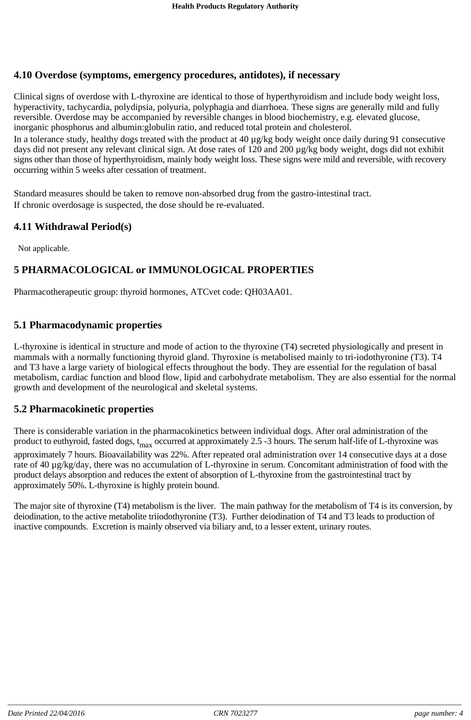#### **4.10 Overdose (symptoms, emergency procedures, antidotes), if necessary**

Clinical signs of overdose with L-thyroxine are identical to those of hyperthyroidism and include body weight loss, hyperactivity, tachycardia, polydipsia, polyuria, polyphagia and diarrhoea. These signs are generally mild and fully reversible. Overdose may be accompanied by reversible changes in blood biochemistry, e.g. elevated glucose, inorganic phosphorus and albumin:globulin ratio, and reduced total protein and cholesterol.

In a tolerance study, healthy dogs treated with the product at 40 µg/kg body weight once daily during 91 consecutive days did not present any relevant clinical sign. At dose rates of 120 and 200 µg/kg body weight, dogs did not exhibit signs other than those of hyperthyroidism, mainly body weight loss. These signs were mild and reversible, with recovery occurring within 5 weeks after cessation of treatment.

Standard measures should be taken to remove non-absorbed drug from the gastro-intestinal tract. If chronic overdosage is suspected, the dose should be re-evaluated.

#### **4.11 Withdrawal Period(s)**

Not applicable.

# **5 PHARMACOLOGICAL or IMMUNOLOGICAL PROPERTIES**

Pharmacotherapeutic group: thyroid hormones, ATCvet code: QH03AA01.

#### **5.1 Pharmacodynamic properties**

L-thyroxine is identical in structure and mode of action to the thyroxine (T4) secreted physiologically and present in mammals with a normally functioning thyroid gland. Thyroxine is metabolised mainly to tri-iodothyronine (T3). T4 and T3 have a large variety of biological effects throughout the body. They are essential for the regulation of basal metabolism, cardiac function and blood flow, lipid and carbohydrate metabolism. They are also essential for the normal growth and development of the neurological and skeletal systems.

#### **5.2 Pharmacokinetic properties**

There is considerable variation in the pharmacokinetics between individual dogs. After oral administration of the product to euthyroid, fasted dogs, t<sub>max</sub> occurred at approximately 2.5 -3 hours. The serum half-life of L-thyroxine was approximately 7 hours. Bioavailability was 22%. After repeated oral administration over 14 consecutive days at a dose rate of 40 µg/kg/day, there was no accumulation of L-thyroxine in serum. Concomitant administration of food with the product delays absorption and reduces the extent of absorption of L-thyroxine from the gastrointestinal tract by approximately 50%. L-thyroxine is highly protein bound.

The major site of thyroxine (T4) metabolism is the liver. The main pathway for the metabolism of T4 is its conversion, by deiodination, to the active metabolite triiodothyronine (T3). Further deiodination of T4 and T3 leads to production of inactive compounds. Excretion is mainly observed via biliary and, to a lesser extent, urinary routes.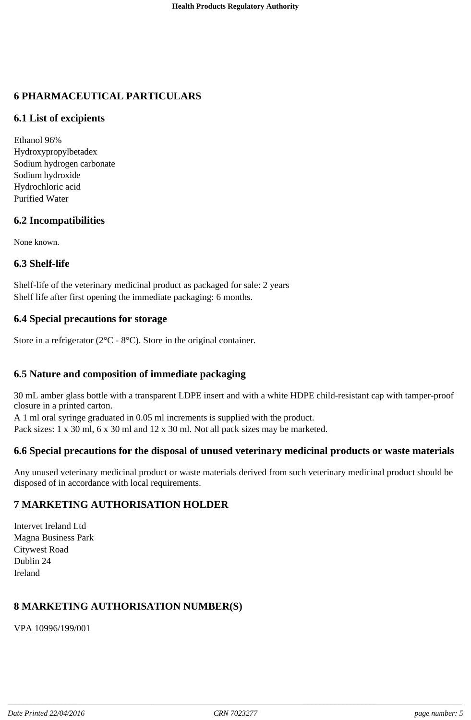# **6 PHARMACEUTICAL PARTICULARS**

#### **6.1 List of excipients**

Ethanol 96% Hydroxypropylbetadex Sodium hydrogen carbonate Sodium hydroxide Hydrochloric acid Purified Water

#### **6.2 Incompatibilities**

None known.

#### **6.3 Shelf-life**

Shelf-life of the veterinary medicinal product as packaged for sale: 2 years Shelf life after first opening the immediate packaging: 6 months.

#### **6.4 Special precautions for storage**

Store in a refrigerator ( $2^{\circ}$ C -  $8^{\circ}$ C). Store in the original container.

# **6.5 Nature and composition of immediate packaging**

30 mL amber glass bottle with a transparent LDPE insert and with a white HDPE child-resistant cap with tamper-proof closure in a printed carton.

A 1 ml oral syringe graduated in 0.05 ml increments is supplied with the product.

Pack sizes: 1 x 30 ml, 6 x 30 ml and 12 x 30 ml. Not all pack sizes may be marketed.

#### **6.6 Special precautions for the disposal of unused veterinary medicinal products or waste materials**

Any unused veterinary medicinal product or waste materials derived from such veterinary medicinal product should be disposed of in accordance with local requirements.

# **7 MARKETING AUTHORISATION HOLDER**

Intervet Ireland Ltd Magna Business Park Citywest Road Dublin 24 Ireland

# **8 MARKETING AUTHORISATION NUMBER(S)**

VPA 10996/199/001